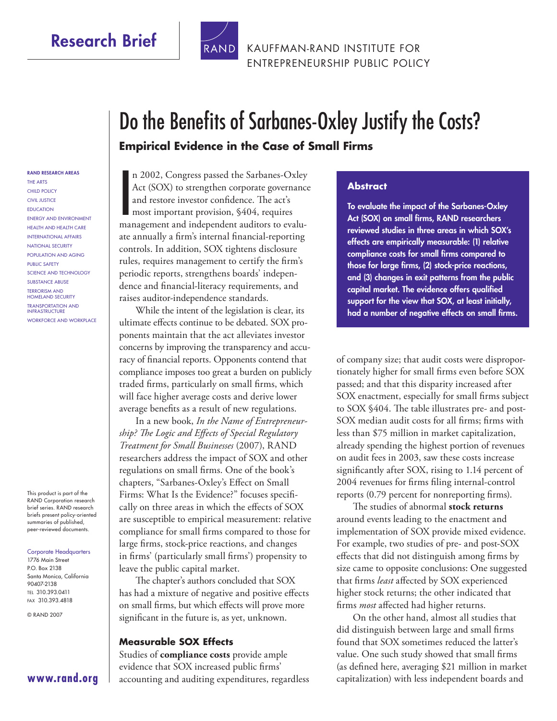## **Research Brief**



KAUFFMAN-RAND INSTITUTE FOR [ENTREPRENEURSHIP PUBLIC POLICY](http://www.rand.org/pdfrd/icj/centers/small_business/)

# Do the Benefits of Sarbanes-Oxley Justify the Costs? **Empirical Evidence in the Case of Small Firms**

#### **RAND RESEARCH AREAS**

THE ARTS CHILD POLICY CIVIL JUSTICE EDUCATION ENERGY AND ENVIRONMENT HEALTH AND HEALTH CARE INTERNATIONAL AFFAIRS NATIONAL SECURITY POPULATION AND AGING PUBLIC SAFETY SCIENCE AND TECHNOLOGY SUBSTANCE ABUSE TERRORISM AND HOMELAND SECURITY TRANSPORTATION AND INFRASTRUCTURE WORKFORCE AND WORKPLACE

This product is part of the RAND Corporation research brief series. RAND research briefs present policy-oriented summaries of published, peer-reviewed documents.

#### Corporate Headquarters

1776 Main Street P.O. Box 2138 Santa Monica, California 90407-2138 TEL 310.393.0411 FAX 310.393.4818

© RAND 2007

n 2002, Congress passed the Sarbanes-Oxley<br>Act (SOX) to strengthen corporate governance<br>and restore investor confidence. The act's<br>most important provision, \$404, requires<br>management and independent auditors to evalun 2002, Congress passed the Sarbanes-Oxley Act (SOX) to strengthen corporate governance and restore investor confidence. The act's most important provision, §404, requires ate annually a firm's internal financial-reporting controls. In addition, SOX tightens disclosure rules, requires management to certify the firm's periodic reports, strengthens boards' independence and financial-literacy requirements, and raises auditor-independence standards.

While the intent of the legislation is clear, its ultimate effects continue to be debated. SOX proponents maintain that the act alleviates investor concerns by improving the transparency and accuracy of financial reports. Opponents contend that compliance imposes too great a burden on publicly traded firms, particularly on small firms, which will face higher average costs and derive lower average benefits as a result of new regulations.

In a new book, *In the Name of Entrepreneur*ship? The Logic and Effects of Special Regulatory *Treatment for Small Businesses* (2007), RAND researchers address the impact of SOX and other regulations on small firms. One of the book's chapters, "Sarbanes-Oxley's Effect on Small Firms: What Is the Evidence?" focuses specifically on three areas in which the effects of SOX are susceptible to empirical measurement: relative compliance for small firms compared to those for large firms, stock-price reactions, and changes in firms' (particularly small firms') propensity to leave the public capital market.

The chapter's authors concluded that SOX has had a mixture of negative and positive effects on small firms, but which effects will prove more significant in the future is, as yet, unknown.

#### **Measurable SOX Effects**

Studies of **compliance costs** provide ample evidence that SOX increased public firms' accounting and auditing expenditures, regardless

#### **Abstract**

**To evaluate the impact of the Sarbanes-Oxley Act (SOX) on small firms, RAND researchers reviewed studies in three areas in which SOX's effects are empirically measurable: (1) relative**  compliance costs for small firms compared to those for large firms, (2) stock-price reactions, **and (3) changes in exit patterns from the public**  capital market. The evidence offers qualified **support for the view that SOX, at least initially,**  had a number of negative effects on small firms.

of company size; that audit costs were disproportionately higher for small firms even before SOX passed; and that this disparity increased after SOX enactment, especially for small firms subject to SOX §404. The table illustrates pre- and post-SOX median audit costs for all firms; firms with less than \$75 million in market capitalization, already spending the highest portion of revenues on audit fees in 2003, saw these costs increase significantly after SOX, rising to 1.14 percent of 2004 revenues for firms filing internal-control reports (0.79 percent for nonreporting firms).

The studies of abnormal **stock returns** around events leading to the enactment and implementation of SOX provide mixed evidence. For example, two studies of pre- and post-SOX effects that did not distinguish among firms by size came to opposite conclusions: One suggested that firms *least* affected by SOX experienced higher stock returns; the other indicated that firms *most* affected had higher returns.

On the other hand, almost all studies that did distinguish between large and small firms found that SOX sometimes reduced the latter's value. One such study showed that small firms (as defined here, averaging \$21 million in market capitalization) with less independent boards and

**[www.rand.org](http://www.rand.org)**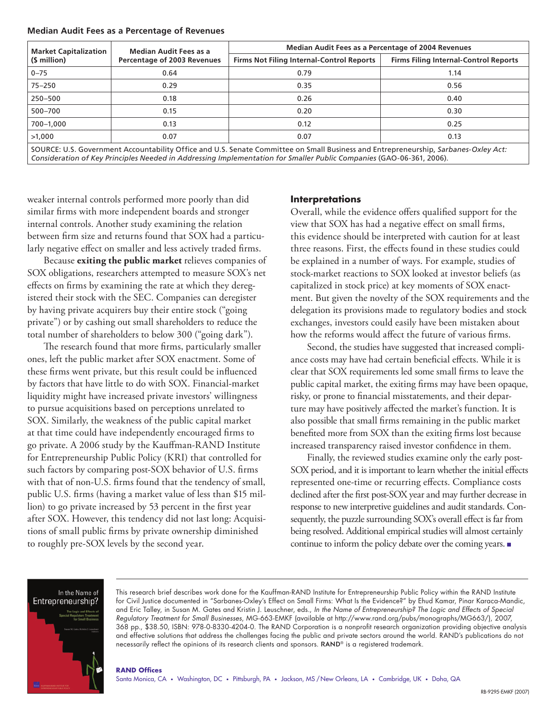| <b>Median Audit Fees as a Percentage of Revenues</b> |  |  |  |  |  |
|------------------------------------------------------|--|--|--|--|--|
|------------------------------------------------------|--|--|--|--|--|

| <b>Market Capitalization</b>                                                                                                       | <b>Median Audit Fees as a</b>      | <b>Median Audit Fees as a Percentage of 2004 Revenues</b> |                                              |  |  |
|------------------------------------------------------------------------------------------------------------------------------------|------------------------------------|-----------------------------------------------------------|----------------------------------------------|--|--|
| (\$ million)                                                                                                                       | <b>Percentage of 2003 Revenues</b> | Firms Not Filing Internal-Control Reports                 | <b>Firms Filing Internal-Control Reports</b> |  |  |
| $0 - 75$                                                                                                                           | 0.64                               | 0.79                                                      | 1.14                                         |  |  |
| $75 - 250$                                                                                                                         | 0.29                               | 0.35                                                      | 0.56                                         |  |  |
| 250-500                                                                                                                            | 0.18                               | 0.26                                                      | 0.40                                         |  |  |
| 500-700                                                                                                                            | 0.15                               | 0.20                                                      | 0.30                                         |  |  |
| 700-1,000                                                                                                                          | 0.13                               | 0.12                                                      | 0.25                                         |  |  |
| >1,000                                                                                                                             | 0.07                               | 0.07                                                      | 0.13                                         |  |  |
| COURCE U.S. Covernment Accountability Office and U.S. Senate Committee on Small Pusiness and Entrepreneurship, Sarbanes Oxlow Actu |                                    |                                                           |                                              |  |  |

)URCE: U.S. Government Accountability Office and U.S. Senate Committee on Small Business and Entrepreneurship, *Sarbanes-*( *Consideration of Key Principles Needed in Addressing Implementation for Smaller Public Companies* (GAO-06-361, 2006).

weaker internal controls performed more poorly than did similar firms with more independent boards and stronger internal controls. Another study examining the relation between firm size and returns found that SOX had a particularly negative effect on smaller and less actively traded firms.

Because **exiting the public market** relieves companies of SOX obligations, researchers attempted to measure SOX's net effects on firms by examining the rate at which they deregistered their stock with the SEC. Companies can deregister by having private acquirers buy their entire stock ("going private") or by cashing out small shareholders to reduce the total number of shareholders to below 300 ("going dark").

The research found that more firms, particularly smaller ones, left the public market after SOX enactment. Some of these firms went private, but this result could be influenced by factors that have little to do with SOX. Financial-market liquidity might have increased private investors' willingness to pursue acquisitions based on perceptions unrelated to SOX. Similarly, the weakness of the public capital market at that time could have independently encouraged firms to go private. A 2006 study by the Kauffman-RAND Institute for Entrepreneurship Public Policy (KRI) that controlled for such factors by comparing post-SOX behavior of U.S. firms with that of non-U.S. firms found that the tendency of small, public U.S. firms (having a market value of less than \$15 million) to go private increased by 53 percent in the first year after SOX. However, this tendency did not last long: Acquisitions of small public firms by private ownership diminished to roughly pre-SOX levels by the second year.

### **Interpretations**

Overall, while the evidence offers qualified support for the view that SOX has had a negative effect on small firms, this evidence should be interpreted with caution for at least three reasons. First, the effects found in these studies could be explained in a number of ways. For example, studies of stock-market reactions to SOX looked at investor beliefs (as capitalized in stock price) at key moments of SOX enactment. But given the novelty of the SOX requirements and the delegation its provisions made to regulatory bodies and stock exchanges, investors could easily have been mistaken about how the reforms would affect the future of various firms.

Second, the studies have suggested that increased compliance costs may have had certain beneficial effects. While it is clear that SOX requirements led some small firms to leave the public capital market, the exiting firms may have been opaque, risky, or prone to financial misstatements, and their departure may have positively affected the market's function. It is also possible that small firms remaining in the public market benefited more from SOX than the exiting firms lost because increased transparency raised investor confidence in them.

Finally, the reviewed studies examine only the early post-SOX period, and it is important to learn whether the initial effects represented one-time or recurring effects. Compliance costs declined after the first post-SOX year and may further decrease in response to new interpretive guidelines and audit standards. Consequently, the puzzle surrounding SOX's overall effect is far from being resolved. Additional empirical studies will almost certainly continue to inform the policy debate over the coming years. ■



This research brief describes work done for the Kauffman-RAND Institute for Entrepreneurship Public Policy within the RAND Institute for Civil Justice documented in "Sarbanes-Oxley's Effect on Small Firms: What Is the Evidence?" by Ehud Kamar, Pinar Karaca-Mandic, and Eric Talley, in Susan M. Gates and Kristin J. Leuschner, eds., In the Name of Entrepreneurship? The Logic and Effects of Special Regulatory Treatment for Small Businesses, MG-663-EMKF (available at [http://www.rand.org/pubs/monographs/MG663/\)](http://www.rand.org/pubs/monographs/MG663/), 2007, 368 pp., \$38.50, ISBN: 978-0-8330-4204-0. The RAND Corporation is a nonprofit research organization providing objective analysis and effective solutions that address the challenges facing the public and private sectors around the world. RAND's publications do not necessarily reflect the opinions of its research clients and sponsors. RAND® is a registered trademark.

### **RAND Offices**